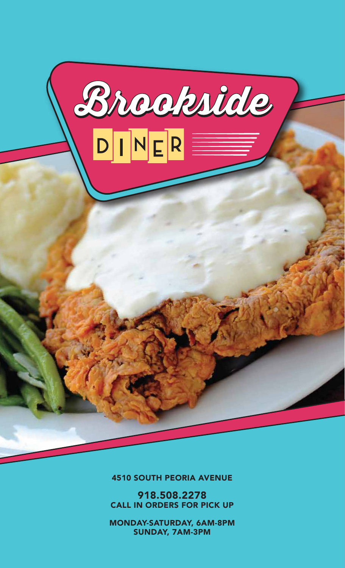

4510 SOUTH PEORIA AVENUE

918.508.2278 CALL IN ORDERS FOR PICK UP

MONDAY-SATURDAY, 6AM-8PM SUNDAY, 7AM-3PM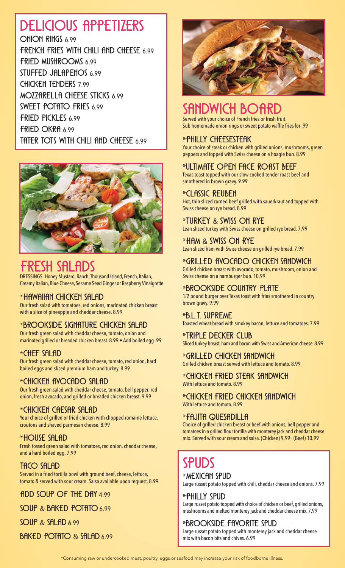# Delicious Appetizers

ONION RINGS 6.99 FRENCH FRIES WITH CHILI AND CHEESE 6.99 Fried Mushrooms 6.99 STUFFED JALAPENOS 6.99 Chicken Tenders 7.99 MOZZARELLA CHEESE STICKS 6.99 SWEET POTATO FRIES 6.99 Fried Pickles 6.99 FRIED OKRA 6.99 tater tots with chili and cheese 6.99



## Fresh Salads

DRESSINGS: Honey Mustard, Ranch, Thousand Island, French, Italian, Creamy Italian, Blue Cheese, Sesame Seed Ginger or Raspberry Vinaigrette

## \*Hawaiian Chicken Salad

Our fresh salad with tomatoes, red onions, marinated chicken breast with a slice of pineapple and cheddar cheese. 8.99

## \*Brookside Signature Chicken Salad

Our fresh green salad with cheddar cheese, tomato, onion and marinated grilled or breaded chicken breast. 8.99 • Add boiled egg .99

## \*Chef Salad

Our fresh green salad with cheddar cheese, tomato, red onion, hard boiled eggs and sliced premium ham and turkey. 8.99

## \*Chicken Avocado Salad

Our fresh green salad with cheddar cheese, tomato, bell pepper, red onion, fresh avocado, and grilled or breaded chicken breast. 9.99

## \*Chicken CAESAR Salad

Your choice of grilled or fried chicken with chopped romaine lettuce, croutons and shaved parmesan cheese. 8.99

## \*HOUSE SALAD

Fresh tossed green salad with tomatoes, red onion, cheddar cheese, and a hard boiled egg. 7.99

## TACO SALAD

Served in a fried tortilla bowl with ground beef, cheese, lettuce, tomato & served with sour cream. Salsa available upon request. 8.99

ADD SOUP OF THE DAY 4.99

SOUP & BAKED POTATO 6.99

SOUP & SALAD 6.99

BAKED POTATO & SALAD 6.99



## SHNDWICH BC

Served with your choice of French fries or fresh fruit. Sub homemade onion rings or sweet potato waffle fries for .99

## \*Philly Cheesesteak

Your choice of steak or chicken with grilled onions, mushrooms, green peppers and topped with Swiss cheese on a hoagie bun. 8.99

## \*Ultimate Open Face Roast Beef

Texas toast topped with our slow cooked tender roast beef and smothered in brown gravy. 9.99

## \*Classic Reuben

Hot, thin sliced corned beef grilled with sauerkraut and topped with Swiss cheese on rye bread. 8.99

## \*Turkey & Swiss On Rye

Lean sliced turkey with Swiss cheese on grilled rye bread. 7.99

#### \*Ham & Swiss On Rye

Lean sliced ham with Swiss cheese on grilled rye bread. 7.99

## \*Grilled Avocado Chicken Sandwich

Grilled chicken breast with avocado, tomato, mushroom, onion and Swiss cheese on a hamburger bun. 10.99

## \*Brookside Country Plate

1/2 pound burger over Texas toast with fries smothered in country brown gravy. 9.99

## \*B.L.T. Supreme

Toasted wheat bread with smokey bacon, lettuce and tomatoes. 7.99

#### \*Triple Decker Club

Sliced turkey breast, ham and bacon with Swiss and American cheese. 8.99

## \*Grilled Chicken Sandwich

Grilled chicken breast served with lettuce and tomato. 8.99

#### \*Chicken Fried Steak Sandwich With lettuce and tomato. 8.99

\*Chicken Fried Chicken Sandwich With lettuce and tomato. 8.99

## \*Fajita Quesadilla

Choice of grilled chicken breast or beef with onions, bell pepper and tomatoes in a grilled flour tortilla with monterey jack and cheddar cheese mix. Served with sour cream and salsa. (Chicken) 9.99 · (Beef) 10.99

# **SPUDS**

## \*Mexican Spud

Large russet potato topped with chili, cheddar cheese and onions. 7.99

\*Philly Spud Large russet potato topped with choice of chicken or beef, grilled onions, mushrooms and melted monterey jack and cheddar cheese mix. 7.99

## \*Brookside Favorite Spud

Large russet potato topped with monterey jack and cheddar cheese mix with bacon bits and chives. 6.99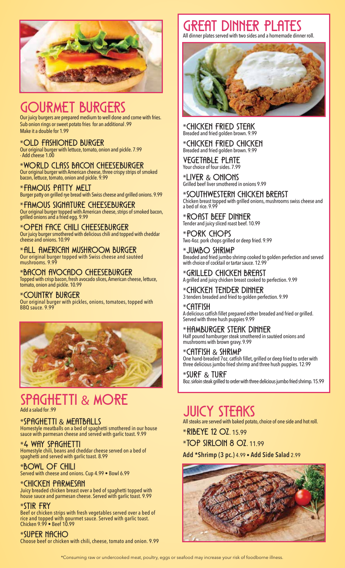

## DURMET BURGERS

Our juicy burgers are prepared medium to well done and come with fries. Sub onion rings or sweet potato fries for an additional .99 Make it a double for 1.99

#### \*Old Fashioned Burger

Our original burger with lettuce, tomato, onion and pickle. 7.99 · Add cheese 1.00

\*World Class Bacon Cheeseburger Our original burger with American cheese, three crispy strips of smoked bacon, lettuce, tomato, onion and pickle. 9.99

#### \*Famous Patty Melt

Burger patty on grilled rye bread with Swiss cheese and grilled onions. 9.99

\*Famous Signature Cheeseburger Our original burger topped with American cheese, strips of smoked bacon, grilled onions and a fried egg. 9.99

\*Open Face Chili Cheeseburger Our juicy burger smothered with delicious chili and topped with cheddar cheese and onions. 10.99

 $^*$ all American Mushroom Burger Our original burger topped with Swiss cheese and sautéed mushrooms. 9.99

\*Bacon Avocado Cheeseburger Topped with crisp bacon, fresh avocado slices, American cheese, lettuce, tomato, onion and pickle. 10.99

\*Country Burger Our original burger with pickles, onions, tomatoes, topped with BBQ sauce. 9.99



# SPAGHETTI & MORE

## \*Spaghetti & Meatballs

Homestyle meatballs on a bed of spaghetti smothered in our house sauce with parmesan cheese and served with garlic toast. 9.99

## \*4 Way Spaghetti

Homestyle chili, beans and cheddar cheese served on a bed of spaghetti and served with garlic toast. 8.99

## \*Bowl Of Chili

Served with cheese and onions. Cup 4.99 • Bowl 6.99

## \*Chicken Parmesan

Juicy breaded chicken breast over a bed of spaghetti topped with house sauce and parmesan cheese. Served with garlic toast. 9.99

## \*Stir Fry

Beef or chicken strips with fresh vegetables served over a bed of rice and topped with gourmet sauce. Served with garlic toast. Chicken 9.99 • Beef 10.99

## \*SUPER NACHO

Choose beef or chicken with chili, cheese, tomato and onion. 9.99

# Great Dinner Plates

All dinner plates served with two sides and a homemade dinner roll.



\*Chicken Fried Steak Breaded and fried golden brown. 9.99

\*Chicken Fried Chicken Breaded and fried golden brown. 9.99

VEGETABLE PLATE Your choice of four sides. 7.99

\*Liver & Onions Grilled beef liver smothered in onions 9.99

\*Southwestern Chicken Breast Chicken breast topped with grilled onions, mushrooms swiss cheese and a bed of rice. 9.99

\*Roast Beef Dinner Tender and juicy sliced roast beef. 10.99

\*Pork Chops Two 4oz. pork chops grilled or deep fried. 9.99

\*Jumbo Shrimp Breaded and fried jumbo shrimp cooked to golden perfection and served with choice of cocktail or tartar sauce. 12.99

\*Grilled Chicken Breast A grilled and juicy chicken breast cooked to perfection. 9.99

\*Chicken Tender Dinner 3 tenders breaded and fried to golden perfection. 9.99

 $*$ CHI+ISH A delicious catfish fillet prepared either breaded and fried or grilled. Served with three hush puppies 9.99

\*Hamburger Steak Dinner Half pound hamburger steak smothered in sautéed onions and mushrooms with brown gravy. 9.99

CATFISH & SHRIMP One hand-breaded 7oz. catfish fillet, grilled or deep fried to order with three delicious jumbo fried shrimp and three hush puppies. 12.99

\*Surf & Turf 8oz. sirloin steak grilled to order with three delicious jumbo fried shrimp. 15.99

## **JUICY STEAKS**

All steaks are served with baked potato, choice of one side and hot roll.

\*Ribeye 12 oz. 15.99

\*Top Sirloin 8 oz. 11.99

**Add \*Shrimp (3 pc.)** 4.99 • **Add Side Salad** 2.99